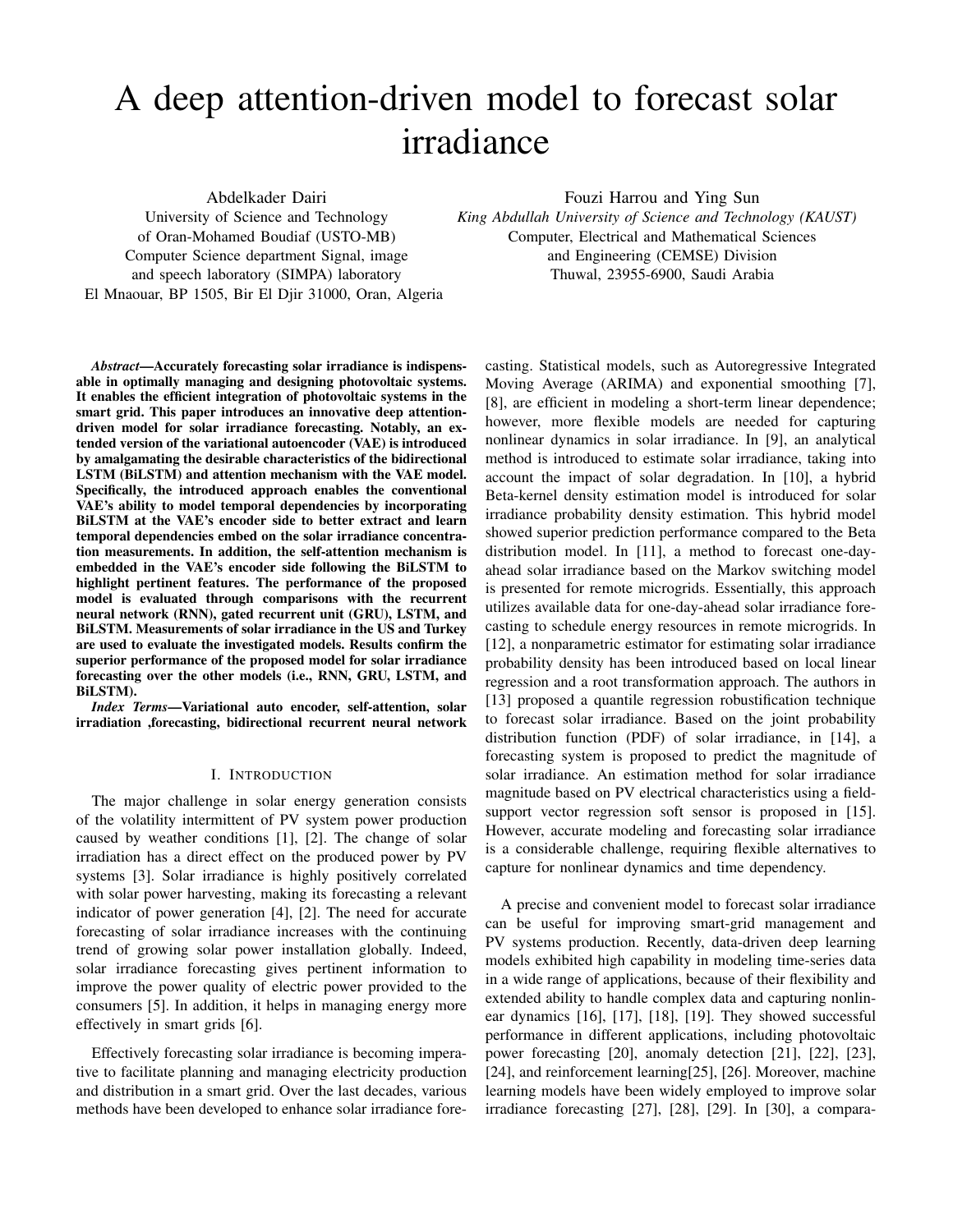# A deep attention-driven model to forecast solar irradiance

Abdelkader Dairi

Fouzi Harrou and Ying Sun

University of Science and Technology of Oran-Mohamed Boudiaf (USTO-MB) Computer Science department Signal, image and speech laboratory (SIMPA) laboratory El Mnaouar, BP 1505, Bir El Djir 31000, Oran, Algeria *King Abdullah University of Science and Technology (KAUST)* Computer, Electrical and Mathematical Sciences and Engineering (CEMSE) Division Thuwal, 23955-6900, Saudi Arabia

*Abstract*—Accurately forecasting solar irradiance is indispensable in optimally managing and designing photovoltaic systems. It enables the efficient integration of photovoltaic systems in the smart grid. This paper introduces an innovative deep attentiondriven model for solar irradiance forecasting. Notably, an extended version of the variational autoencoder (VAE) is introduced by amalgamating the desirable characteristics of the bidirectional LSTM (BiLSTM) and attention mechanism with the VAE model. Specifically, the introduced approach enables the conventional VAE's ability to model temporal dependencies by incorporating BiLSTM at the VAE's encoder side to better extract and learn temporal dependencies embed on the solar irradiance concentration measurements. In addition, the self-attention mechanism is embedded in the VAE's encoder side following the BiLSTM to highlight pertinent features. The performance of the proposed model is evaluated through comparisons with the recurrent neural network (RNN), gated recurrent unit (GRU), LSTM, and BiLSTM. Measurements of solar irradiance in the US and Turkey are used to evaluate the investigated models. Results confirm the superior performance of the proposed model for solar irradiance forecasting over the other models (i.e., RNN, GRU, LSTM, and BiLSTM).

*Index Terms*—Variational auto encoder, self-attention, solar irradiation ,forecasting, bidirectional recurrent neural network

# I. INTRODUCTION

The major challenge in solar energy generation consists of the volatility intermittent of PV system power production caused by weather conditions [1], [2]. The change of solar irradiation has a direct effect on the produced power by PV systems [3]. Solar irradiance is highly positively correlated with solar power harvesting, making its forecasting a relevant indicator of power generation [4], [2]. The need for accurate forecasting of solar irradiance increases with the continuing trend of growing solar power installation globally. Indeed, solar irradiance forecasting gives pertinent information to improve the power quality of electric power provided to the consumers [5]. In addition, it helps in managing energy more effectively in smart grids [6].

Effectively forecasting solar irradiance is becoming imperative to facilitate planning and managing electricity production and distribution in a smart grid. Over the last decades, various methods have been developed to enhance solar irradiance forecasting. Statistical models, such as Autoregressive Integrated Moving Average (ARIMA) and exponential smoothing [7], [8], are efficient in modeling a short-term linear dependence; however, more flexible models are needed for capturing nonlinear dynamics in solar irradiance. In [9], an analytical method is introduced to estimate solar irradiance, taking into account the impact of solar degradation. In [10], a hybrid Beta-kernel density estimation model is introduced for solar irradiance probability density estimation. This hybrid model showed superior prediction performance compared to the Beta distribution model. In [11], a method to forecast one-dayahead solar irradiance based on the Markov switching model is presented for remote microgrids. Essentially, this approach utilizes available data for one-day-ahead solar irradiance forecasting to schedule energy resources in remote microgrids. In [12], a nonparametric estimator for estimating solar irradiance probability density has been introduced based on local linear regression and a root transformation approach. The authors in [13] proposed a quantile regression robustification technique to forecast solar irradiance. Based on the joint probability distribution function (PDF) of solar irradiance, in [14], a forecasting system is proposed to predict the magnitude of solar irradiance. An estimation method for solar irradiance magnitude based on PV electrical characteristics using a fieldsupport vector regression soft sensor is proposed in [15]. However, accurate modeling and forecasting solar irradiance is a considerable challenge, requiring flexible alternatives to capture for nonlinear dynamics and time dependency.

A precise and convenient model to forecast solar irradiance can be useful for improving smart-grid management and PV systems production. Recently, data-driven deep learning models exhibited high capability in modeling time-series data in a wide range of applications, because of their flexibility and extended ability to handle complex data and capturing nonlinear dynamics [16], [17], [18], [19]. They showed successful performance in different applications, including photovoltaic power forecasting [20], anomaly detection [21], [22], [23], [24], and reinforcement learning[25], [26]. Moreover, machine learning models have been widely employed to improve solar irradiance forecasting [27], [28], [29]. In [30], a compara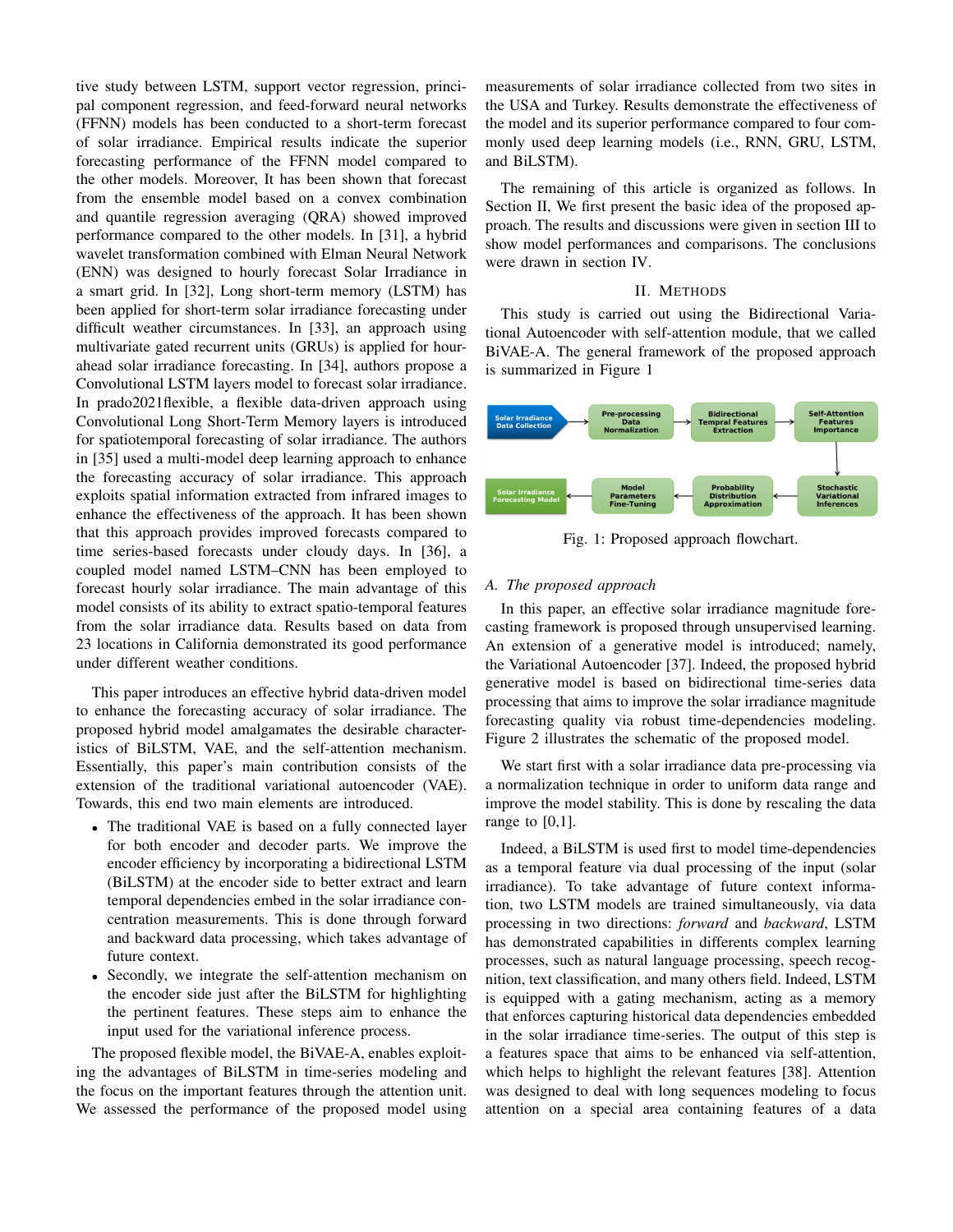tive study between LSTM, support vector regression, principal component regression, and feed-forward neural networks (FFNN) models has been conducted to a short-term forecast of solar irradiance. Empirical results indicate the superior forecasting performance of the FFNN model compared to the other models. Moreover, It has been shown that forecast from the ensemble model based on a convex combination and quantile regression averaging (QRA) showed improved performance compared to the other models. In [31], a hybrid wavelet transformation combined with Elman Neural Network (ENN) was designed to hourly forecast Solar Irradiance in a smart grid. In [32], Long short-term memory (LSTM) has been applied for short-term solar irradiance forecasting under difficult weather circumstances. In [33], an approach using multivariate gated recurrent units (GRUs) is applied for hourahead solar irradiance forecasting. In [34], authors propose a Convolutional LSTM layers model to forecast solar irradiance. In prado2021flexible, a flexible data-driven approach using Convolutional Long Short-Term Memory layers is introduced for spatiotemporal forecasting of solar irradiance. The authors in [35] used a multi-model deep learning approach to enhance the forecasting accuracy of solar irradiance. This approach exploits spatial information extracted from infrared images to enhance the effectiveness of the approach. It has been shown that this approach provides improved forecasts compared to time series-based forecasts under cloudy days. In [36], a coupled model named LSTM–CNN has been employed to forecast hourly solar irradiance. The main advantage of this model consists of its ability to extract spatio-temporal features from the solar irradiance data. Results based on data from 23 locations in California demonstrated its good performance under different weather conditions.

This paper introduces an effective hybrid data-driven model to enhance the forecasting accuracy of solar irradiance. The proposed hybrid model amalgamates the desirable characteristics of BiLSTM, VAE, and the self-attention mechanism. Essentially, this paper's main contribution consists of the extension of the traditional variational autoencoder (VAE). Towards, this end two main elements are introduced.

- The traditional VAE is based on a fully connected layer for both encoder and decoder parts. We improve the encoder efficiency by incorporating a bidirectional LSTM (BiLSTM) at the encoder side to better extract and learn temporal dependencies embed in the solar irradiance concentration measurements. This is done through forward and backward data processing, which takes advantage of future context.
- Secondly, we integrate the self-attention mechanism on the encoder side just after the BiLSTM for highlighting the pertinent features. These steps aim to enhance the input used for the variational inference process.

The proposed flexible model, the BiVAE-A, enables exploiting the advantages of BiLSTM in time-series modeling and the focus on the important features through the attention unit. We assessed the performance of the proposed model using measurements of solar irradiance collected from two sites in the USA and Turkey. Results demonstrate the effectiveness of the model and its superior performance compared to four commonly used deep learning models (i.e., RNN, GRU, LSTM, and BiLSTM).

The remaining of this article is organized as follows. In Section II, We first present the basic idea of the proposed approach. The results and discussions were given in section III to show model performances and comparisons. The conclusions were drawn in section IV.

# II. METHODS

This study is carried out using the Bidirectional Variational Autoencoder with self-attention module, that we called BiVAE-A. The general framework of the proposed approach is summarized in Figure 1



Fig. 1: Proposed approach flowchart.

# *A. The proposed approach*

In this paper, an effective solar irradiance magnitude forecasting framework is proposed through unsupervised learning. An extension of a generative model is introduced; namely, the Variational Autoencoder [37]. Indeed, the proposed hybrid generative model is based on bidirectional time-series data processing that aims to improve the solar irradiance magnitude forecasting quality via robust time-dependencies modeling. Figure 2 illustrates the schematic of the proposed model.

We start first with a solar irradiance data pre-processing via a normalization technique in order to uniform data range and improve the model stability. This is done by rescaling the data range to [0,1].

Indeed, a BiLSTM is used first to model time-dependencies as a temporal feature via dual processing of the input (solar irradiance). To take advantage of future context information, two LSTM models are trained simultaneously, via data processing in two directions: *forward* and *backward*, LSTM has demonstrated capabilities in differents complex learning processes, such as natural language processing, speech recognition, text classification, and many others field. Indeed, LSTM is equipped with a gating mechanism, acting as a memory that enforces capturing historical data dependencies embedded in the solar irradiance time-series. The output of this step is a features space that aims to be enhanced via self-attention, which helps to highlight the relevant features [38]. Attention was designed to deal with long sequences modeling to focus attention on a special area containing features of a data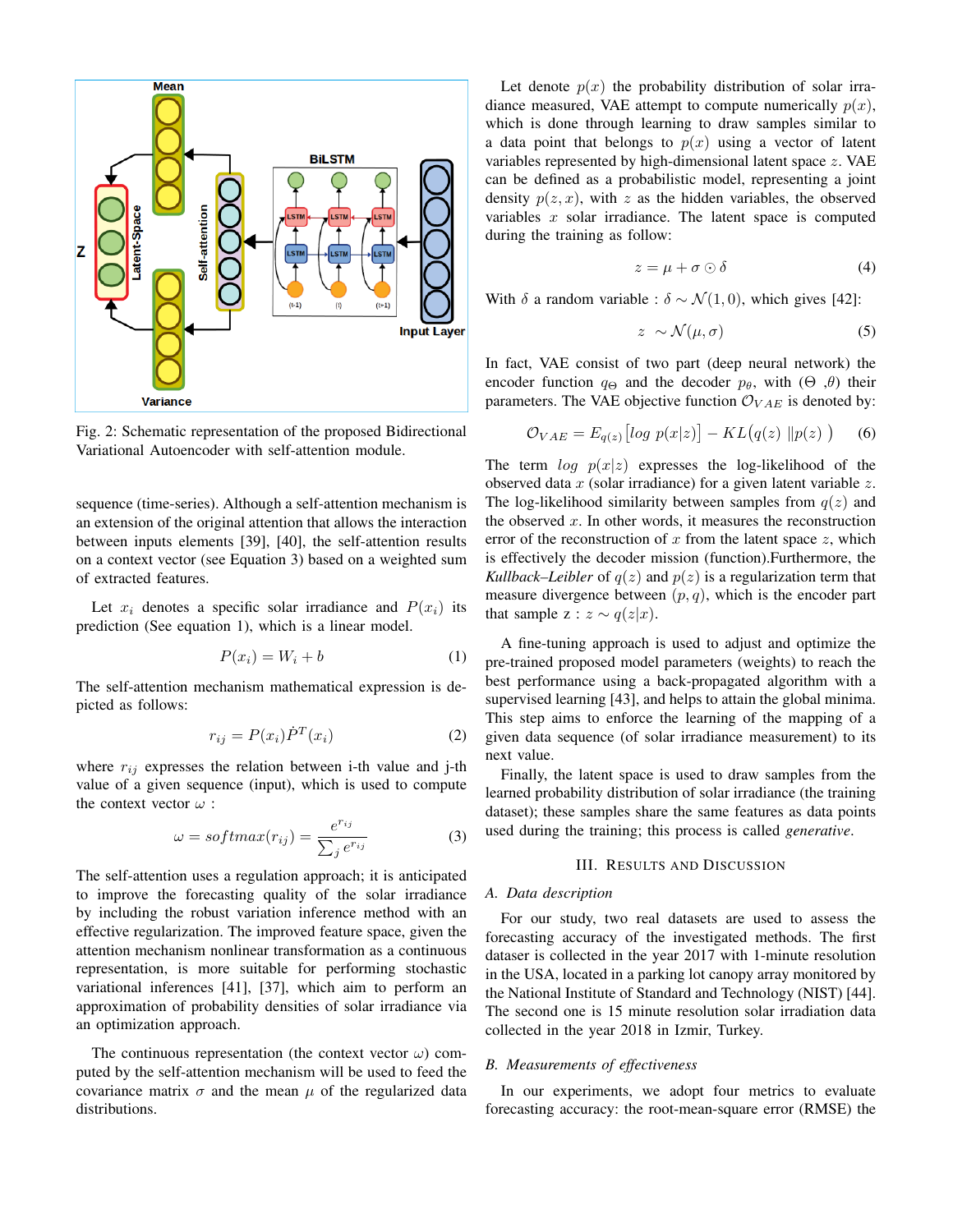

Fig. 2: Schematic representation of the proposed Bidirectional Variational Autoencoder with self-attention module.

sequence (time-series). Although a self-attention mechanism is an extension of the original attention that allows the interaction between inputs elements [39], [40], the self-attention results on a context vector (see Equation 3) based on a weighted sum of extracted features.

Let  $x_i$  denotes a specific solar irradiance and  $P(x_i)$  its prediction (See equation 1), which is a linear model.

$$
P(x_i) = W_i + b \tag{1}
$$

The self-attention mechanism mathematical expression is depicted as follows:

$$
r_{ij} = P(x_i)\dot{P}^T(x_i)
$$
 (2)

where  $r_{ij}$  expresses the relation between i-th value and j-th value of a given sequence (input), which is used to compute the context vector  $\omega$  :

$$
\omega = softmax(r_{ij}) = \frac{e^{r_{ij}}}{\sum_j e^{r_{ij}}} \tag{3}
$$

The self-attention uses a regulation approach; it is anticipated to improve the forecasting quality of the solar irradiance by including the robust variation inference method with an effective regularization. The improved feature space, given the attention mechanism nonlinear transformation as a continuous representation, is more suitable for performing stochastic variational inferences [41], [37], which aim to perform an approximation of probability densities of solar irradiance via an optimization approach.

The continuous representation (the context vector  $\omega$ ) computed by the self-attention mechanism will be used to feed the covariance matrix  $\sigma$  and the mean  $\mu$  of the regularized data distributions.

Let denote  $p(x)$  the probability distribution of solar irradiance measured, VAE attempt to compute numerically  $p(x)$ , which is done through learning to draw samples similar to a data point that belongs to  $p(x)$  using a vector of latent variables represented by high-dimensional latent space  $z$ . VAE can be defined as a probabilistic model, representing a joint density  $p(z, x)$ , with z as the hidden variables, the observed variables  $x$  solar irradiance. The latent space is computed during the training as follow:

$$
z = \mu + \sigma \odot \delta \tag{4}
$$

With  $\delta$  a random variable :  $\delta \sim \mathcal{N}(1, 0)$ , which gives [42]:

$$
z \sim \mathcal{N}(\mu, \sigma) \tag{5}
$$

In fact, VAE consist of two part (deep neural network) the encoder function  $q_{\Theta}$  and the decoder  $p_{\theta}$ , with  $(\Theta, \theta)$  their parameters. The VAE objective function  $\mathcal{O}_{VAE}$  is denoted by:

$$
\mathcal{O}_{VAE} = E_{q(z)} \left[ \log \ p(x|z) \right] - KL \big( q(z) \ \| p(z) \ \big) \tag{6}
$$

The term  $\log p(x|z)$  expresses the log-likelihood of the observed data  $x$  (solar irradiance) for a given latent variable  $z$ . The log-likelihood similarity between samples from  $q(z)$  and the observed  $x$ . In other words, it measures the reconstruction error of the reconstruction of  $x$  from the latent space  $z$ , which is effectively the decoder mission (function).Furthermore, the *Kullback–Leibler* of  $q(z)$  and  $p(z)$  is a regularization term that measure divergence between  $(p, q)$ , which is the encoder part that sample z :  $z \sim q(z|x)$ .

A fine-tuning approach is used to adjust and optimize the pre-trained proposed model parameters (weights) to reach the best performance using a back-propagated algorithm with a supervised learning [43], and helps to attain the global minima. This step aims to enforce the learning of the mapping of a given data sequence (of solar irradiance measurement) to its next value.

Finally, the latent space is used to draw samples from the learned probability distribution of solar irradiance (the training dataset); these samples share the same features as data points used during the training; this process is called *generative*.

# III. RESULTS AND DISCUSSION

#### *A. Data description*

For our study, two real datasets are used to assess the forecasting accuracy of the investigated methods. The first dataser is collected in the year 2017 with 1-minute resolution in the USA, located in a parking lot canopy array monitored by the National Institute of Standard and Technology (NIST) [44]. The second one is 15 minute resolution solar irradiation data collected in the year 2018 in Izmir, Turkey.

# *B. Measurements of effectiveness*

In our experiments, we adopt four metrics to evaluate forecasting accuracy: the root-mean-square error (RMSE) the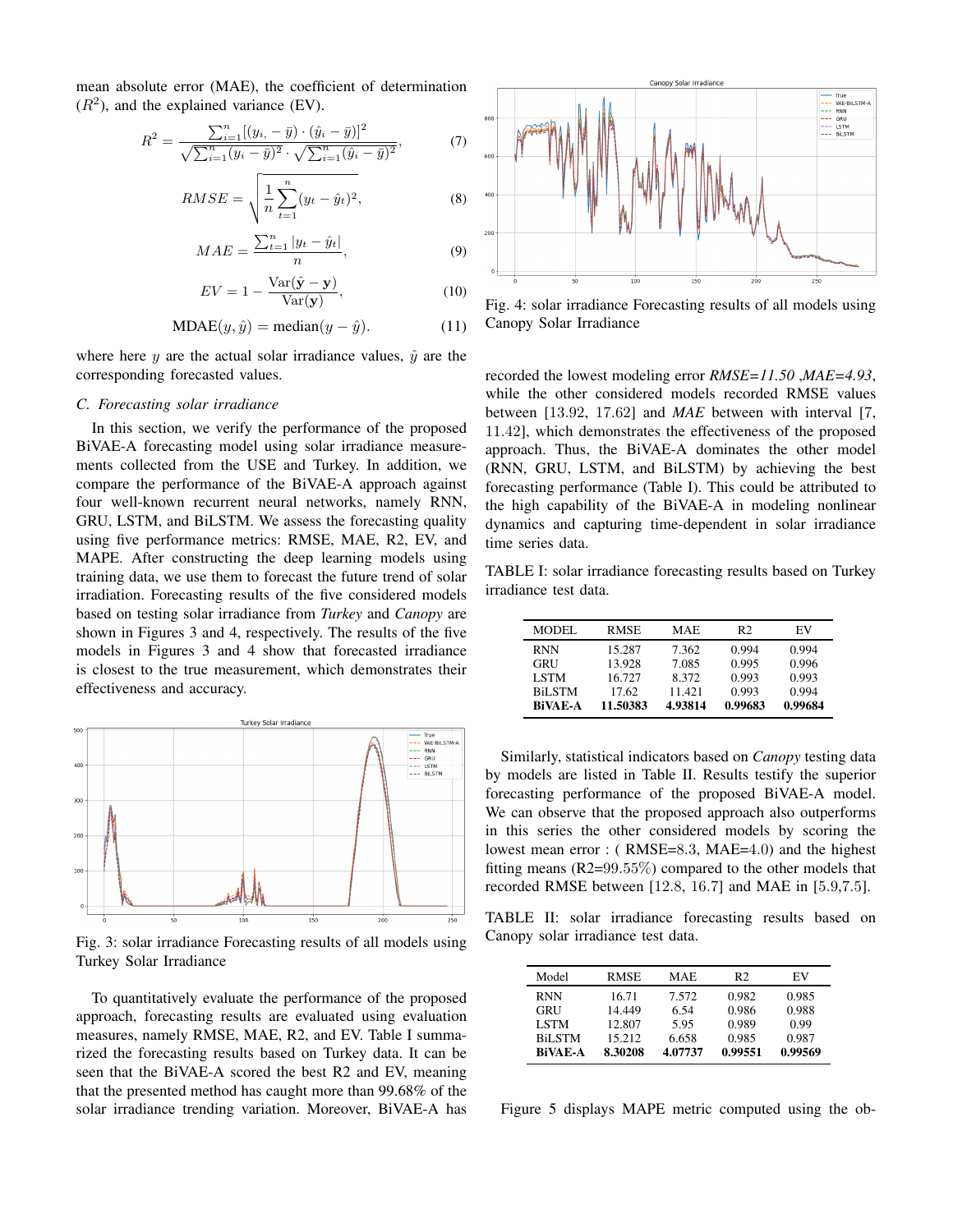mean absolute error (MAE), the coefficient of determination  $(R<sup>2</sup>)$ , and the explained variance (EV).

$$
R^{2} = \frac{\sum_{i=1}^{n} [(y_{i}, -\bar{y}) \cdot (\hat{y}_{i} - \bar{y})]^{2}}{\sqrt{\sum_{i=1}^{n} (y_{i} - \bar{y})^{2}} \cdot \sqrt{\sum_{i=1}^{n} (\hat{y}_{i} - \bar{y})^{2}}},
$$
(7)

$$
RMSE = \sqrt{\frac{1}{n} \sum_{t=1}^{n} (y_t - \hat{y}_t)^2},
$$
\n(8)

$$
MAE = \frac{\sum_{t=1}^{n} |y_t - \hat{y}_t|}{n},\tag{9}
$$

$$
EV = 1 - \frac{\text{Var}(\hat{\mathbf{y}} - \mathbf{y})}{\text{Var}(\mathbf{y})},\tag{10}
$$

$$
MDAE(y, \hat{y}) = \text{median}(y - \hat{y}).\tag{11}
$$

where here y are the actual solar irradiance values,  $\hat{y}$  are the corresponding forecasted values.

#### *C. Forecasting solar irradiance*

In this section, we verify the performance of the proposed BiVAE-A forecasting model using solar irradiance measurements collected from the USE and Turkey. In addition, we compare the performance of the BiVAE-A approach against four well-known recurrent neural networks, namely RNN, GRU, LSTM, and BiLSTM. We assess the forecasting quality using five performance metrics: RMSE, MAE, R2, EV, and MAPE. After constructing the deep learning models using training data, we use them to forecast the future trend of solar irradiation. Forecasting results of the five considered models based on testing solar irradiance from *Turkey* and *Canopy* are shown in Figures 3 and 4, respectively. The results of the five models in Figures 3 and 4 show that forecasted irradiance is closest to the true measurement, which demonstrates their effectiveness and accuracy.



Fig. 3: solar irradiance Forecasting results of all models using Turkey Solar Irradiance

To quantitatively evaluate the performance of the proposed approach, forecasting results are evaluated using evaluation measures, namely RMSE, MAE, R2, and EV. Table I summarized the forecasting results based on Turkey data. It can be seen that the BiVAE-A scored the best R2 and EV, meaning that the presented method has caught more than 99.68% of the solar irradiance trending variation. Moreover, BiVAE-A has



Fig. 4: solar irradiance Forecasting results of all models using Canopy Solar Irradiance

recorded the lowest modeling error *RMSE=11.50* ,*MAE=4.93*, while the other considered models recorded RMSE values between [13.92, 17.62] and *MAE* between with interval [7, 11.42], which demonstrates the effectiveness of the proposed approach. Thus, the BiVAE-A dominates the other model (RNN, GRU, LSTM, and BiLSTM) by achieving the best forecasting performance (Table I). This could be attributed to the high capability of the BiVAE-A in modeling nonlinear dynamics and capturing time-dependent in solar irradiance time series data.

TABLE I: solar irradiance forecasting results based on Turkey irradiance test data.

| MODEL          | <b>RMSE</b> | MAE.    | R <sub>2</sub> | EV      |
|----------------|-------------|---------|----------------|---------|
| <b>RNN</b>     | 15.287      | 7.362   | 0.994          | 0.994   |
| GRU            | 13.928      | 7.085   | 0.995          | 0.996   |
| <b>LSTM</b>    | 16.727      | 8.372   | 0.993          | 0.993   |
| <b>BiLSTM</b>  | 17.62       | 11.421  | 0.993          | 0.994   |
| <b>BiVAE-A</b> | 11.50383    | 4.93814 | 0.99683        | 0.99684 |

Similarly, statistical indicators based on *Canopy* testing data by models are listed in Table II. Results testify the superior forecasting performance of the proposed BiVAE-A model. We can observe that the proposed approach also outperforms in this series the other considered models by scoring the lowest mean error : ( RMSE=8.3, MAE=4.0) and the highest fitting means  $(R2=99.55\%)$  compared to the other models that recorded RMSE between [12.8, 16.7] and MAE in [5.9,7.5].

TABLE II: solar irradiance forecasting results based on Canopy solar irradiance test data.

| Model         | <b>RMSE</b> | MAE     | R2      | EV      |
|---------------|-------------|---------|---------|---------|
| <b>RNN</b>    | 16.71       | 7.572   | 0.982   | 0.985   |
| GRU           | 14 449      | 6.54    | 0.986   | 0.988   |
| <b>LSTM</b>   | 12.807      | 5.95    | 0.989   | 0.99    |
| <b>BiLSTM</b> | 15.212      | 6.658   | 0.985   | 0.987   |
| BiVAE-A       | 8.30208     | 4.07737 | 0.99551 | 0.99569 |

Figure 5 displays MAPE metric computed using the ob-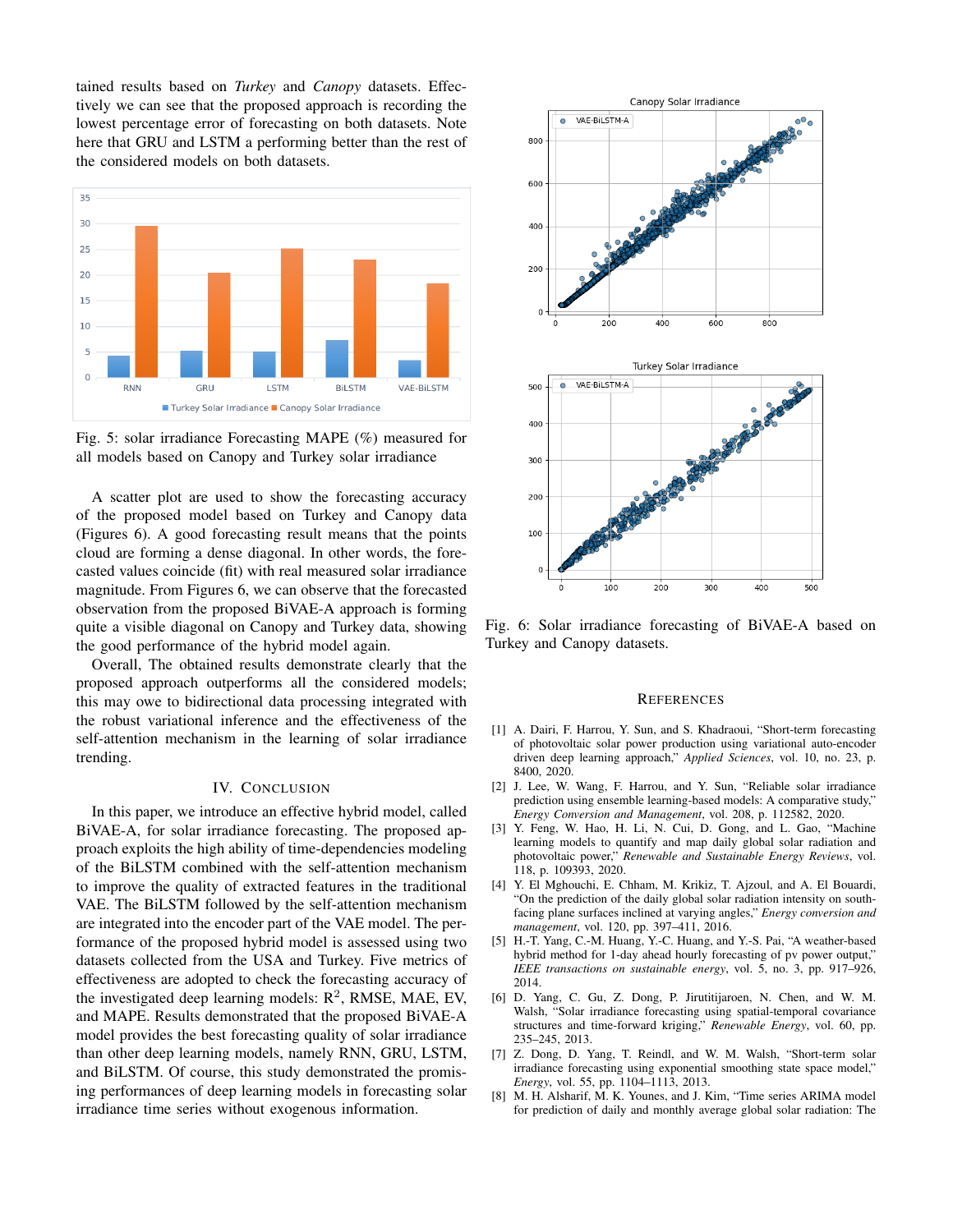tained results based on *Turkey* and *Canopy* datasets. Effectively we can see that the proposed approach is recording the lowest percentage error of forecasting on both datasets. Note here that GRU and LSTM a performing better than the rest of the considered models on both datasets.



Fig. 5: solar irradiance Forecasting MAPE (%) measured for all models based on Canopy and Turkey solar irradiance

A scatter plot are used to show the forecasting accuracy of the proposed model based on Turkey and Canopy data (Figures 6). A good forecasting result means that the points cloud are forming a dense diagonal. In other words, the forecasted values coincide (fit) with real measured solar irradiance magnitude. From Figures 6, we can observe that the forecasted observation from the proposed BiVAE-A approach is forming quite a visible diagonal on Canopy and Turkey data, showing the good performance of the hybrid model again.

Overall, The obtained results demonstrate clearly that the proposed approach outperforms all the considered models; this may owe to bidirectional data processing integrated with the robust variational inference and the effectiveness of the self-attention mechanism in the learning of solar irradiance trending.

### IV. CONCLUSION

In this paper, we introduce an effective hybrid model, called BiVAE-A, for solar irradiance forecasting. The proposed approach exploits the high ability of time-dependencies modeling of the BiLSTM combined with the self-attention mechanism to improve the quality of extracted features in the traditional VAE. The BiLSTM followed by the self-attention mechanism are integrated into the encoder part of the VAE model. The performance of the proposed hybrid model is assessed using two datasets collected from the USA and Turkey. Five metrics of effectiveness are adopted to check the forecasting accuracy of the investigated deep learning models:  $R^2$ , RMSE, MAE, EV, and MAPE. Results demonstrated that the proposed BiVAE-A model provides the best forecasting quality of solar irradiance than other deep learning models, namely RNN, GRU, LSTM, and BiLSTM. Of course, this study demonstrated the promising performances of deep learning models in forecasting solar irradiance time series without exogenous information.



Fig. 6: Solar irradiance forecasting of BiVAE-A based on Turkey and Canopy datasets.

#### **REFERENCES**

- [1] A. Dairi, F. Harrou, Y. Sun, and S. Khadraoui, "Short-term forecasting of photovoltaic solar power production using variational auto-encoder driven deep learning approach," *Applied Sciences*, vol. 10, no. 23, p. 8400, 2020.
- [2] J. Lee, W. Wang, F. Harrou, and Y. Sun, "Reliable solar irradiance prediction using ensemble learning-based models: A comparative study," *Energy Conversion and Management*, vol. 208, p. 112582, 2020.
- [3] Y. Feng, W. Hao, H. Li, N. Cui, D. Gong, and L. Gao, "Machine learning models to quantify and map daily global solar radiation and photovoltaic power," *Renewable and Sustainable Energy Reviews*, vol. 118, p. 109393, 2020.
- [4] Y. El Mghouchi, E. Chham, M. Krikiz, T. Ajzoul, and A. El Bouardi, "On the prediction of the daily global solar radiation intensity on southfacing plane surfaces inclined at varying angles," *Energy conversion and management*, vol. 120, pp. 397–411, 2016.
- [5] H.-T. Yang, C.-M. Huang, Y.-C. Huang, and Y.-S. Pai, "A weather-based hybrid method for 1-day ahead hourly forecasting of pv power output," *IEEE transactions on sustainable energy*, vol. 5, no. 3, pp. 917–926, 2014.
- [6] D. Yang, C. Gu, Z. Dong, P. Jirutitijaroen, N. Chen, and W. M. Walsh, "Solar irradiance forecasting using spatial-temporal covariance structures and time-forward kriging," *Renewable Energy*, vol. 60, pp. 235–245, 2013.
- [7] Z. Dong, D. Yang, T. Reindl, and W. M. Walsh, "Short-term solar irradiance forecasting using exponential smoothing state space model," *Energy*, vol. 55, pp. 1104–1113, 2013.
- [8] M. H. Alsharif, M. K. Younes, and J. Kim, "Time series ARIMA model for prediction of daily and monthly average global solar radiation: The